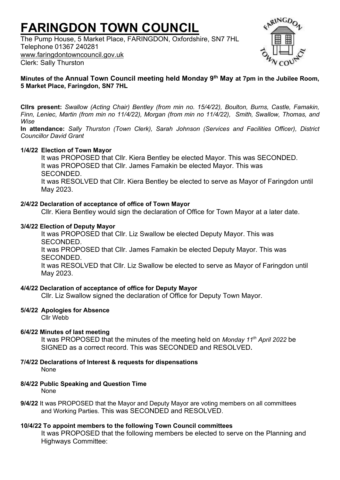# **FARINGDON TOWN COUNCIL**

The Pump House, 5 Market Place, FARINGDON, Oxfordshire, SN7 7HL Telephone 01367 240281 [www.faringdontowncouncil.gov.uk](http://www.faringdontowncouncil.gov.uk/) Clerk: Sally Thurston



# **Minutes of the Annual Town Council meeting held Monday 9 th May at 7pm in the Jubilee Room, 5 Market Place, Faringdon, SN7 7HL**

**Cllrs present:** *Swallow (Acting Chair) Bentley (from min no. 15/4/22), Boulton, Burns, Castle, Famakin, Finn, Leniec, Martin (from min no 11/4/22), Morgan (from min no 11/4/22), Smith, Swallow, Thomas, and Wise*

**In attendance:** *Sally Thurston (Town Clerk), Sarah Johnson (Services and Facilities Officer), District Councillor David Grant*

# **1/4/22 Election of Town Mayor**

It was PROPOSED that Cllr. Kiera Bentley be elected Mayor. This was SECONDED. It was PROPOSED that Cllr. James Famakin be elected Mayor. This was SECONDED. It was RESOLVED that Cllr. Kiera Bentley be elected to serve as Mayor of Faringdon until May 2023.

## **2/4/22 Declaration of acceptance of office of Town Mayor**

Cllr. Kiera Bentley would sign the declaration of Office for Town Mayor at a later date.

# **3/4/22 Election of Deputy Mayor**

It was PROPOSED that Cllr. Liz Swallow be elected Deputy Mayor. This was **SECONDED** 

It was PROPOSED that Cllr. James Famakin be elected Deputy Mayor. This was SECONDED.

It was RESOLVED that Cllr. Liz Swallow be elected to serve as Mayor of Faringdon until May 2023.

#### **4/4/22 Declaration of acceptance of office for Deputy Mayor**

Cllr. Liz Swallow signed the declaration of Office for Deputy Town Mayor.

# **5/4/22 Apologies for Absence**

Cllr Webb

# **6/4/22 Minutes of last meeting**

It was PROPOSED that the minutes of the meeting held on *Monday 11th April 2022* be SIGNED as a correct record. This was SECONDED and RESOLVED**.**

- **7/4/22 Declarations of Interest & requests for dispensations** None
- **8/4/22 Public Speaking and Question Time** None
- **9/4/22** It was PROPOSED that the Mayor and Deputy Mayor are voting members on all committees and Working Parties. This was SECONDED and RESOLVED.

# **10/4/22 To appoint members to the following Town Council committees**

It was PROPOSED that the following members be elected to serve on the Planning and Highways Committee: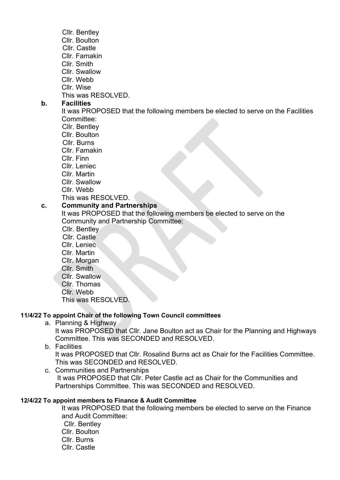- Cllr. Bentley
- Cllr. Boulton
- Cllr. Castle
- Cllr. Famakin
- Cllr. Smith
- Cllr. Swallow
- Cllr. Webb
- Cllr. Wise

This was RESOLVED.

# **b. Facilities**

It was PROPOSED that the following members be elected to serve on the Facilities Committee:

- Cllr. Bentley
- Cllr. Boulton
- Cllr. Burns
- Cllr. Famakin
- Cllr. Finn
- Cllr. Leniec
- Cllr. Martin
- Cllr. Swallow
- Cllr. Webb

# This was RESOLVED.

# **c. Community and Partnerships**

It was PROPOSED that the following members be elected to serve on the Community and Partnership Committee:

- Cllr. Bentley
- Cllr. Castle
- Cllr. Leniec
- Cllr. Martin
- Cllr. Morgan
- Cllr. Smith
- Cllr. Swallow
- Cllr. Thomas
- Cllr. Webb

This was RESOLVED.

# **11/4/22 To appoint Chair of the following Town Council committees**

a. Planning & Highway

It was PROPOSED that Cllr. Jane Boulton act as Chair for the Planning and Highways Committee. This was SECONDED and RESOLVED.

b. Facilities

It was PROPOSED that Cllr. Rosalind Burns act as Chair for the Facilities Committee. This was SECONDED and RESOLVED.

c. Communities and Partnerships It was PROPOSED that Cllr. Peter Castle act as Chair for the Communities and Partnerships Committee. This was SECONDED and RESOLVED.

# **12/4/22 To appoint members to Finance & Audit Committee**

It was PROPOSED that the following members be elected to serve on the Finance and Audit Committee: Cllr. Bentley Cllr. Boulton Cllr. Burns Cllr. Castle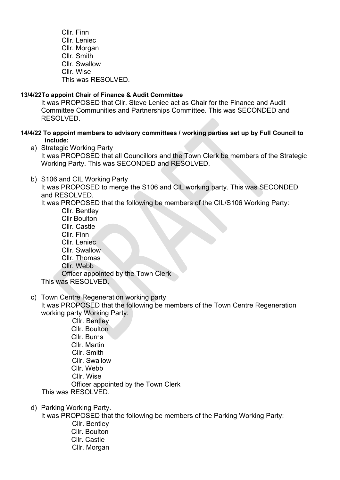Cllr. Finn Cllr. Leniec Cllr. Morgan Cllr. Smith Cllr. Swallow Cllr. Wise This was RESOLVED.

## **13/4/22To appoint Chair of Finance & Audit Committee**

It was PROPOSED that Cllr. Steve Leniec act as Chair for the Finance and Audit Committee Communities and Partnerships Committee. This was SECONDED and RESOLVED.

## **14/4/22 To appoint members to advisory committees / working parties set up by Full Council to include:**

- a) Strategic Working Party It was PROPOSED that all Councillors and the Town Clerk be members of the Strategic Working Party. This was SECONDED and RESOLVED.
- b) S106 and CIL Working Party

It was PROPOSED to merge the S106 and CIL working party. This was SECONDED and RESOLVED.

It was PROPOSED that the following be members of the CIL/S106 Working Party:

- Cllr. Bentley Cllr Boulton Cllr. Castle Cllr. Finn Cllr. Leniec Cllr. Swallow Cllr. Thomas Cllr. Webb Officer appointed by the Town Clerk This was RESOLVED.
- 
- c) Town Centre Regeneration working party It was PROPOSED that the following be members of the Town Centre Regeneration working party Working Party:

 Cllr. Bentley Cllr. Boulton Cllr. Burns Cllr. Martin Cllr. Smith Cllr. Swallow Cllr. Webb Cllr. Wise Officer appointed by the Town Clerk

This was RESOLVED.

d) Parking Working Party.

It was PROPOSED that the following be members of the Parking Working Party:

 Cllr. Bentley Cllr. Boulton Cllr. Castle Cllr. Morgan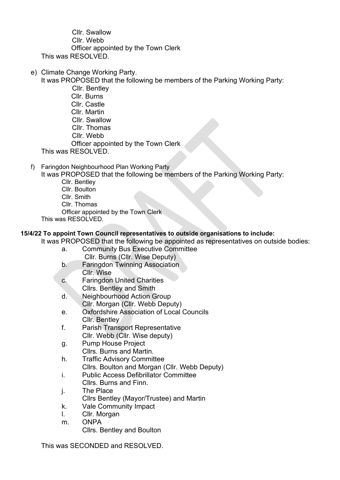Cllr. Swallow Cllr. Webb Officer appointed by the Town Clerk This was RESOLVED.

e) Climate Change Working Party.

It was PROPOSED that the following be members of the Parking Working Party:

- Cllr. Bentley Cllr. Burns Cllr. Castle Cllr. Martin Cllr. Swallow Cllr. Thomas Cllr. Webb Officer appointed by the Town Clerk This was RESOLVED.
- 
- f) Faringdon Neighbourhood Plan Working Party

It was PROPOSED that the following be members of the Parking Working Party:

- Cllr. Bentley Cllr. Boulton
- Cllr. Smith
- Cllr. Thomas
- Officer appointed by the Town Clerk
- This was RESOLVED.

# **15/4/22 To appoint Town Council representatives to outside organisations to include:**

It was PROPOSED that the following be appointed as representatives on outside bodies:

- a. Community Bus Executive Committee Cllr. Burns (Cllr. Wise Deputy)
- b. Faringdon Twinning Association Cllr. Wise
- c. Faringdon United Charities Cllrs. Bentley and Smith
- d. Neighbourhood Action Group Cllr. Morgan (Cllr. Webb Deputy)
- e. Oxfordshire Association of Local Councils Cllr. Bentley
- f. Parish Transport Representative Cllr. Webb (Cllr. Wise deputy)
- g. Pump House Project Cllrs. Burns and Martin.
- h. Traffic Advisory Committee Cllrs. Boulton and Morgan (Cllr. Webb Deputy)
- i. Public Access Defibrillator Committee Cllrs. Burns and Finn.
- j. The Place
- Cllrs Bentley (Mayor/Trustee) and Martin
- k. Vale Community Impact
- l. Cllr. Morgan
- m. ONPA

Cllrs. Bentley and Boulton

This was SECONDED and RESOLVED.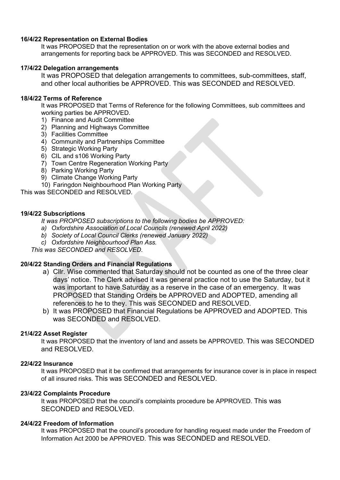#### **16/4/22 Representation on External Bodies**

It was PROPOSED that the representation on or work with the above external bodies and arrangements for reporting back be APPROVED. This was SECONDED and RESOLVED.

#### **17/4/22 Delegation arrangements**

It was PROPOSED that delegation arrangements to committees, sub-committees, staff, and other local authorities be APPROVED. This was SECONDED and RESOLVED.

## **18/4/22 Terms of Reference**

It was PROPOSED that Terms of Reference for the following Committees, sub committees and working parties be APPROVED.

- 1) Finance and Audit Committee
- 2) Planning and Highways Committee
- 3) Facilities Committee
- 4) Community and Partnerships Committee
- 5) Strategic Working Party
- 6) CIL and s106 Working Party
- 7) Town Centre Regeneration Working Party
- 8) Parking Working Party
- 9) Climate Change Working Party
- 10) Faringdon Neighbourhood Plan Working Party

This was SECONDED and RESOLVED.

## **19/4/22 Subscriptions**

*It was PROPOSED subscriptions to the following bodies be APPROVED:*

- *a) Oxfordshire Association of Local Councils (renewed April 2022)*
- *b) Society of Local Council Clerks (renewed January 2022)*
- *c) Oxfordshire Neighbourhood Plan Ass.*

*This was SECONDED and RESOLVED.*

# **20/4/22 Standing Orders and Financial Regulations**

- a) Cllr. Wise commented that Saturday should not be counted as one of the three clear days' notice. The Clerk advised it was general practice not to use the Saturday, but it was important to have Saturday as a reserve in the case of an emergency. It was PROPOSED that Standing Orders be APPROVED and ADOPTED, amending all references to he to they. This was SECONDED and RESOLVED.
- b) It was PROPOSED that Financial Regulations be APPROVED and ADOPTED. This was SECONDED and RESOLVED.

# **21/4/22 Asset Register**

It was PROPOSED that the inventory of land and assets be APPROVED. This was SECONDED and RESOLVED.

# **22/4/22 Insurance**

It was PROPOSED that it be confirmed that arrangements for insurance cover is in place in respect of all insured risks. This was SECONDED and RESOLVED.

# **23/4/22 Complaints Procedure**

It was PROPOSED that the council's complaints procedure be APPROVED. This was SECONDED and RESOLVED.

# **24/4/22 Freedom of Information**

It was PROPOSED that the council's procedure for handling request made under the Freedom of Information Act 2000 be APPROVED. This was SECONDED and RESOLVED.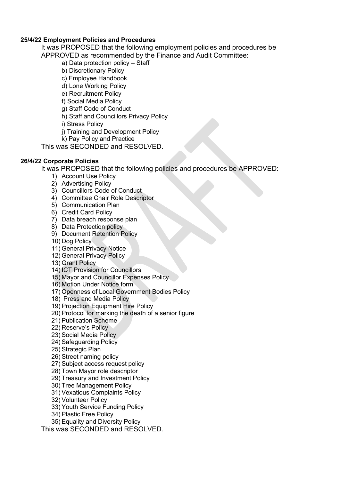## **25/4/22 Employment Policies and Procedures**

It was PROPOSED that the following employment policies and procedures be

APPROVED as recommended by the Finance and Audit Committee:

a) Data protection policy – Staff

- b) Discretionary Policy
- c) Employee Handbook
- d) Lone Working Policy
- e) Recruitment Policy
- f) Social Media Policy
- g) Staff Code of Conduct
- h) Staff and Councillors Privacy Policy
- i) Stress Policy
- j) Training and Development Policy
- k) Pay Policy and Practice

This was SECONDED and RESOLVED.

# **26/4/22 Corporate Policies**

It was PROPOSED that the following policies and procedures be APPROVED:

- 1) Account Use Policy
- 2) Advertising Policy
- 3) Councillors Code of Conduct
- 4) Committee Chair Role Descriptor
- 5) Communication Plan
- 6) Credit Card Policy
- 7) Data breach response plan
- 8) Data Protection policy
- 9) Document Retention Policy
- 10) Dog Policy
- 11) General Privacy Notice
- 12) General Privacy Policy
- 13) Grant Policy
- 14) ICT Provision for Councillors
- 15) Mayor and Councillor Expenses Policy
- 16) Motion Under Notice form
- 17) Openness of Local Government Bodies Policy
- 18) Press and Media Policy
- 19) Projection Equipment Hire Policy
- 20) Protocol for marking the death of a senior figure
- 21) Publication Scheme
- 22) Reserve's Policy
- 23) Social Media Policy
- 24) Safeguarding Policy
- 25) Strategic Plan
- 26) Street naming policy
- 27) Subject access request policy
- 28) Town Mayor role descriptor
- 29) Treasury and Investment Policy
- 30) Tree Management Policy
- 31) Vexatious Complaints Policy
- 32) Volunteer Policy
- 33) Youth Service Funding Policy
- 34) Plastic Free Policy
- 35) Equality and Diversity Policy

This was SECONDED and RESOLVED.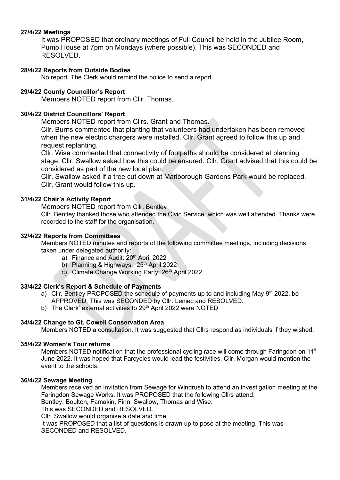## **27/4/22 Meetings**

It was PROPOSED that ordinary meetings of Full Council be held in the Jubilee Room, Pump House at 7pm on Mondays (where possible). This was SECONDED and RESOLVED.

## **28/4/22 Reports from Outside Bodies**

No report. The Clerk would remind the police to send a report.

## **29/4/22 County Councillor's Report**

Members NOTED report from Cllr. Thomas.

## **30/4/22 District Councillors' Report**

Members NOTED report from Cllrs. Grant and Thomas.

Cllr. Burns commented that planting that volunteers had undertaken has been removed when the new electric chargers were installed. Cllr. Grant agreed to follow this up and request replanting.

Cllr. Wise commented that connectivity of footpaths should be considered at planning stage. Cllr. Swallow asked how this could be ensured. Cllr. Grant advised that this could be considered as part of the new local plan.

Cllr. Swallow asked if a tree cut down at Marlborough Gardens Park would be replaced. Cllr. Grant would follow this up.

## **31/4/22 Chair's Activity Report**

Members NOTED report from Cllr. Bentley

Cllr. Bentley thanked those who attended the Civic Service, which was well attended. Thanks were recorded to the staff for the organisation.

#### **32/4/22 Reports from Committees**

Members NOTED minutes and reports of the following committee meetings, including decisions taken under delegated authority:

- a) Finance and Audit: 20<sup>th</sup> April 2022
- b) Planning & Highways: 25<sup>th</sup> April 2022
- c) Climate Change Working Party: 26th April 2022

# **33/4/22 Clerk's Report & Schedule of Payments**

- a) Cllr. Bentley PROPOSED the schedule of payments up to and including May  $9<sup>th</sup>$  2022, be APPROVED. This was SECONDED by Cllr. Leniec and RESOLVED.
- b) The Clerk' external activities to 29<sup>th</sup> April 2022 were NOTED

# **34/4/22 Change to Gt. Cowell Conservation Area**

Members NOTED a consultation. It was suggested that Cllrs respond as individuals if they wished.

#### **35/4/22 Women's Tour returns**

Members NOTED notification that the professional cycling race will come through Faringdon on 11<sup>th</sup> June 2022. It was hoped that Farcycles would lead the festivities. Cllr. Morgan would mention the event to the schools.

#### **36/4/22 Sewage Meeting**

Members received an invitation from Sewage for Windrush to attend an investigation meeting at the Faringdon Sewage Works. It was PROPOSED that the following Cllrs attend:

Bentley, Boulton, Famakin, Finn, Swallow, Thomas and Wise.

This was SECONDED and RESOLVED.

Cllr. Swallow would organise a date and time.

It was PROPOSED that a list of questions is drawn up to pose at the meeting. This was SECONDED and RESOLVED.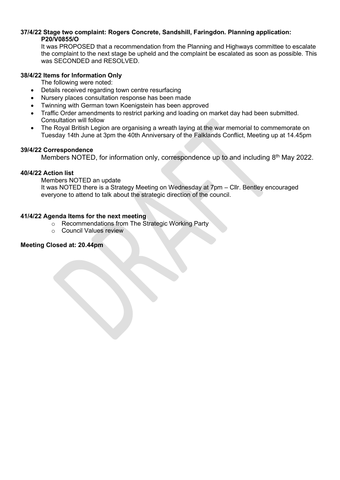## **37/4/22 Stage two complaint: Rogers Concrete, Sandshill, Faringdon. Planning application: P20/V0855/O**

It was PROPOSED that a recommendation from the Planning and Highways committee to escalate the complaint to the next stage be upheld and the complaint be escalated as soon as possible. This was SECONDED and RESOLVED.

#### **38/4/22 Items for Information Only**

The following were noted:

- Details received regarding town centre resurfacing
- Nursery places consultation response has been made
- Twinning with German town Koenigstein has been approved
- Traffic Order amendments to restrict parking and loading on market day had been submitted. Consultation will follow
- The Royal British Legion are organising a wreath laying at the war memorial to commemorate on Tuesday 14th June at 3pm the 40th Anniversary of the Falklands Conflict, Meeting up at 14.45pm

#### **39/4/22 Correspondence**

Members NOTED, for information only, correspondence up to and including 8<sup>th</sup> May 2022.

## **40/4/22 Action list**

Members NOTED an update

It was NOTED there is a Strategy Meeting on Wednesday at 7pm – Cllr. Bentley encouraged everyone to attend to talk about the strategic direction of the council.

## **41/4/22 Agenda Items for the next meeting**

- o Recommendations from The Strategic Working Party
- o Council Values review

# **Meeting Closed at: 20.44pm**